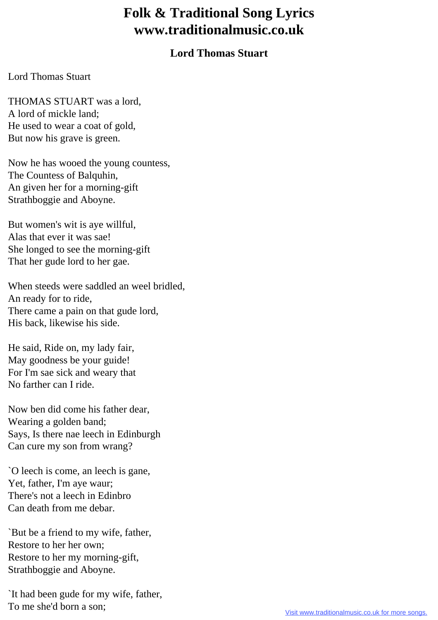## **Folk & Traditional Song Lyrics www.traditionalmusic.co.uk**

## **Lord Thomas Stuart**

## Lord Thomas Stuart

THOMAS STUART was a lord, A lord of mickle land; He used to wear a coat of gold, But now his grave is green.

Now he has wooed the young countess, The Countess of Balquhin, An given her for a morning-gift Strathboggie and Aboyne.

But women's wit is aye willful, Alas that ever it was sae! She longed to see the morning-gift That her gude lord to her gae.

When steeds were saddled an weel bridled, An ready for to ride, There came a pain on that gude lord, His back, likewise his side.

He said, Ride on, my lady fair, May goodness be your guide! For I'm sae sick and weary that No farther can I ride.

Now ben did come his father dear, Wearing a golden band; Says, Is there nae leech in Edinburgh Can cure my son from wrang?

`O leech is come, an leech is gane, Yet, father, I'm aye waur; There's not a leech in Edinbro Can death from me debar.

`But be a friend to my wife, father, Restore to her her own; Restore to her my morning-gift, Strathboggie and Aboyne.

`It had been gude for my wife, father, To me she'd born a son;